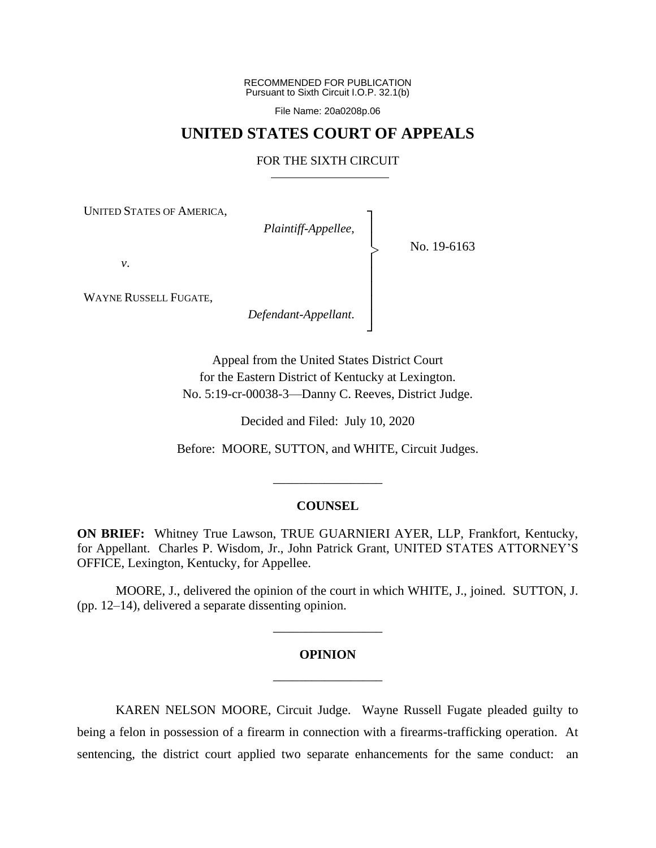RECOMMENDED FOR PUBLICATION Pursuant to Sixth Circuit I.O.P. 32.1(b)

File Name: 20a0208p.06

## **UNITED STATES COURT OF APPEALS**

#### FOR THE SIXTH CIRCUIT

┐

│ │ │ │ │ │ ┘

|<br>|<br>|

UNITED STATES OF AMERICA,

*Plaintiff-Appellee*, │

No. 19-6163

*v*.

WAYNE RUSSELL FUGATE,

*Defendant-Appellant*.

Appeal from the United States District Court for the Eastern District of Kentucky at Lexington. No. 5:19-cr-00038-3—Danny C. Reeves, District Judge.

Decided and Filed: July 10, 2020

Before: MOORE, SUTTON, and WHITE, Circuit Judges.

#### **COUNSEL**

\_\_\_\_\_\_\_\_\_\_\_\_\_\_\_\_\_

**ON BRIEF:** Whitney True Lawson, TRUE GUARNIERI AYER, LLP, Frankfort, Kentucky, for Appellant. Charles P. Wisdom, Jr., John Patrick Grant, UNITED STATES ATTORNEY'S OFFICE, Lexington, Kentucky, for Appellee.

MOORE, J., delivered the opinion of the court in which WHITE, J., joined. SUTTON, J. (pp. 12–14), delivered a separate dissenting opinion.

#### **OPINION**

\_\_\_\_\_\_\_\_\_\_\_\_\_\_\_\_\_

\_\_\_\_\_\_\_\_\_\_\_\_\_\_\_\_\_

KAREN NELSON MOORE, Circuit Judge. Wayne Russell Fugate pleaded guilty to being a felon in possession of a firearm in connection with a firearms-trafficking operation. At sentencing, the district court applied two separate enhancements for the same conduct: an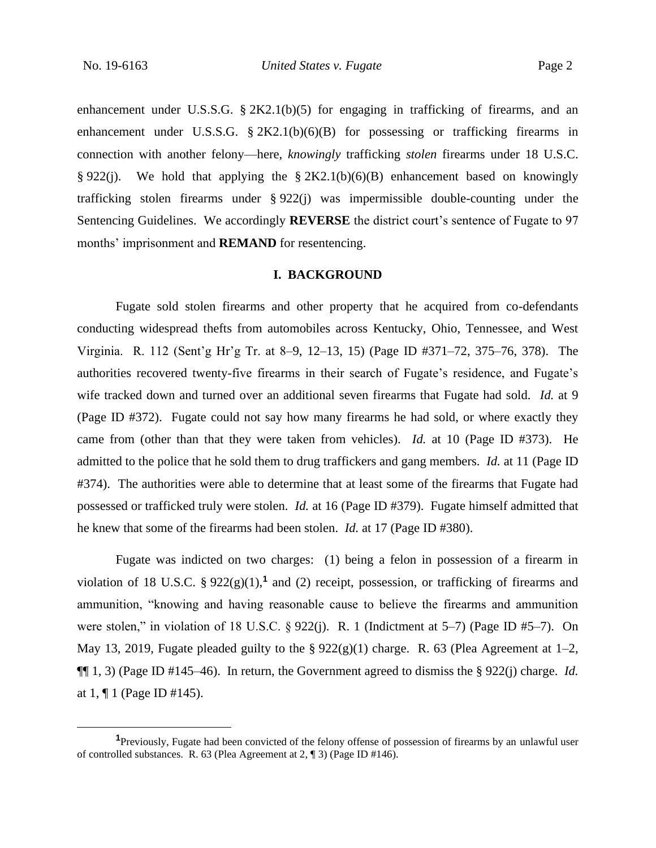enhancement under U.S.S.G. § 2K2.1(b)(5) for engaging in trafficking of firearms, and an enhancement under U.S.S.G.  $\S 2K2.1(b)(6)(B)$  for possessing or trafficking firearms in connection with another felony—here, *knowingly* trafficking *stolen* firearms under 18 U.S.C. § 922(j). We hold that applying the § 2K2.1(b)(6)(B) enhancement based on knowingly trafficking stolen firearms under § 922(j) was impermissible double-counting under the Sentencing Guidelines. We accordingly **REVERSE** the district court's sentence of Fugate to 97 months' imprisonment and **REMAND** for resentencing.

#### **I. BACKGROUND**

Fugate sold stolen firearms and other property that he acquired from co-defendants conducting widespread thefts from automobiles across Kentucky, Ohio, Tennessee, and West Virginia. R. 112 (Sent'g Hr'g Tr. at 8–9, 12–13, 15) (Page ID #371–72, 375–76, 378). The authorities recovered twenty-five firearms in their search of Fugate's residence, and Fugate's wife tracked down and turned over an additional seven firearms that Fugate had sold. *Id.* at 9 (Page ID #372). Fugate could not say how many firearms he had sold, or where exactly they came from (other than that they were taken from vehicles). *Id.* at 10 (Page ID #373). He admitted to the police that he sold them to drug traffickers and gang members. *Id.* at 11 (Page ID #374). The authorities were able to determine that at least some of the firearms that Fugate had possessed or trafficked truly were stolen. *Id.* at 16 (Page ID #379). Fugate himself admitted that he knew that some of the firearms had been stolen. *Id.* at 17 (Page ID #380).

Fugate was indicted on two charges: (1) being a felon in possession of a firearm in violation of 18 U.S.C.  $\S 922(g)(1)$ ,<sup>1</sup> and (2) receipt, possession, or trafficking of firearms and ammunition, "knowing and having reasonable cause to believe the firearms and ammunition were stolen," in violation of 18 U.S.C. § 922(j). R. 1 (Indictment at 5–7) (Page ID #5–7). On May 13, 2019, Fugate pleaded guilty to the §  $922(g)(1)$  charge. R. 63 (Plea Agreement at 1–2, ¶¶ 1, 3) (Page ID #145–46). In return, the Government agreed to dismiss the § 922(j) charge. *Id.*  at 1, ¶ 1 (Page ID #145).

**<sup>1</sup>**Previously, Fugate had been convicted of the felony offense of possession of firearms by an unlawful user of controlled substances. R. 63 (Plea Agreement at 2, ¶ 3) (Page ID #146).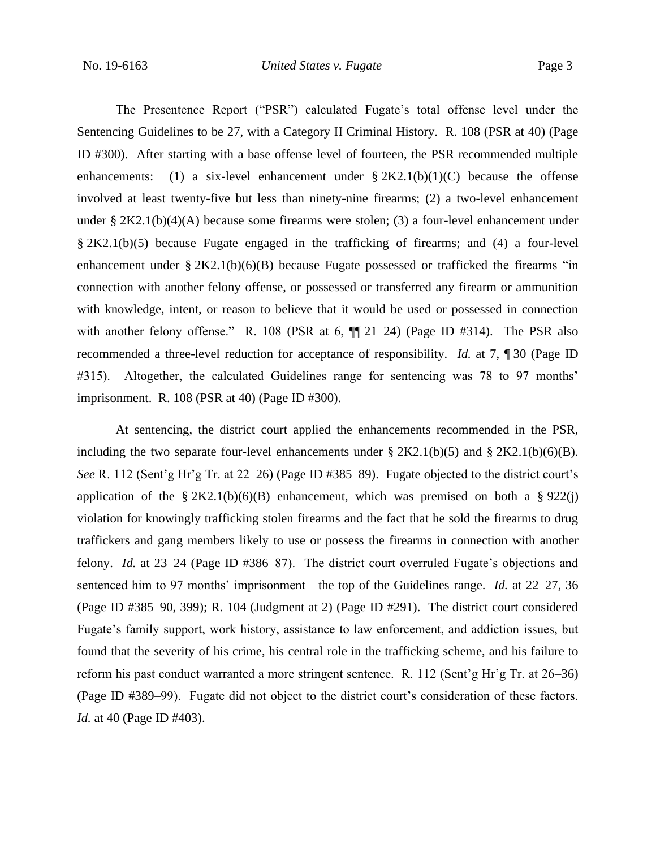The Presentence Report ("PSR") calculated Fugate's total offense level under the Sentencing Guidelines to be 27, with a Category II Criminal History. R. 108 (PSR at 40) (Page ID #300). After starting with a base offense level of fourteen, the PSR recommended multiple enhancements: (1) a six-level enhancement under  $\S 2K2.1(b)(1)(C)$  because the offense involved at least twenty-five but less than ninety-nine firearms; (2) a two-level enhancement under §  $2K2.1(b)(4)(A)$  because some firearms were stolen; (3) a four-level enhancement under § 2K2.1(b)(5) because Fugate engaged in the trafficking of firearms; and (4) a four-level enhancement under  $\S 2K2.1(b)(6)(B)$  because Fugate possessed or trafficked the firearms "in connection with another felony offense, or possessed or transferred any firearm or ammunition with knowledge, intent, or reason to believe that it would be used or possessed in connection with another felony offense." R. 108 (PSR at 6,  $\P$  $[21-24)$  (Page ID #314). The PSR also recommended a three-level reduction for acceptance of responsibility. *Id.* at 7, ¶ 30 (Page ID #315). Altogether, the calculated Guidelines range for sentencing was 78 to 97 months' imprisonment. R. 108 (PSR at 40) (Page ID #300).

At sentencing, the district court applied the enhancements recommended in the PSR, including the two separate four-level enhancements under  $\S 2K2.1(b)(5)$  and  $\S 2K2.1(b)(6)(B)$ . *See* R. 112 (Sent'g Hr'g Tr. at 22–26) (Page ID #385–89). Fugate objected to the district court's application of the  $\S 2K2.1(b)(6)(B)$  enhancement, which was premised on both a  $\S 922(i)$ violation for knowingly trafficking stolen firearms and the fact that he sold the firearms to drug traffickers and gang members likely to use or possess the firearms in connection with another felony. *Id.* at 23–24 (Page ID #386–87). The district court overruled Fugate's objections and sentenced him to 97 months' imprisonment—the top of the Guidelines range. *Id.* at 22–27, 36 (Page ID #385–90, 399); R. 104 (Judgment at 2) (Page ID #291). The district court considered Fugate's family support, work history, assistance to law enforcement, and addiction issues, but found that the severity of his crime, his central role in the trafficking scheme, and his failure to reform his past conduct warranted a more stringent sentence. R. 112 (Sent'g Hr'g Tr. at 26–36) (Page ID #389–99). Fugate did not object to the district court's consideration of these factors. *Id.* at 40 (Page ID #403).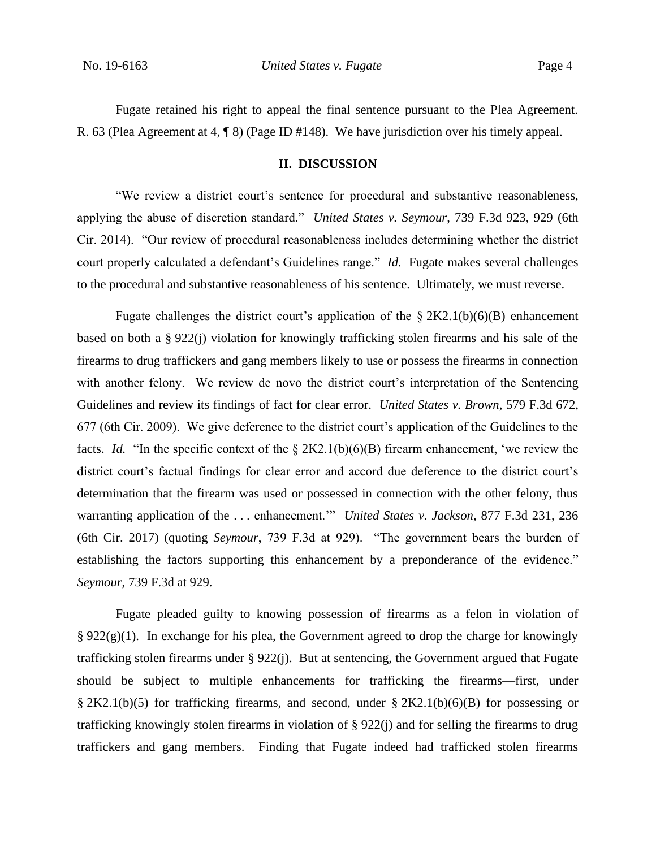Fugate retained his right to appeal the final sentence pursuant to the Plea Agreement. R. 63 (Plea Agreement at 4, ¶ 8) (Page ID #148). We have jurisdiction over his timely appeal.

#### **II. DISCUSSION**

"We review a district court's sentence for procedural and substantive reasonableness, applying the abuse of discretion standard." *United States v. Seymour*, 739 F.3d 923, 929 (6th Cir. 2014). "Our review of procedural reasonableness includes determining whether the district court properly calculated a defendant's Guidelines range." *Id.* Fugate makes several challenges to the procedural and substantive reasonableness of his sentence. Ultimately, we must reverse.

Fugate challenges the district court's application of the  $\S 2K2.1(b)(6)(B)$  enhancement based on both a § 922(j) violation for knowingly trafficking stolen firearms and his sale of the firearms to drug traffickers and gang members likely to use or possess the firearms in connection with another felony. We review de novo the district court's interpretation of the Sentencing Guidelines and review its findings of fact for clear error. *United States v. Brown*, 579 F.3d 672, 677 (6th Cir. 2009). We give deference to the district court's application of the Guidelines to the facts. *Id.* "In the specific context of the § 2K2.1(b)(6)(B) firearm enhancement, 'we review the district court's factual findings for clear error and accord due deference to the district court's determination that the firearm was used or possessed in connection with the other felony, thus warranting application of the . . . enhancement.'" *United States v. Jackson*, 877 F.3d 231, 236 (6th Cir. 2017) (quoting *Seymour*, 739 F.3d at 929). "The government bears the burden of establishing the factors supporting this enhancement by a preponderance of the evidence." *Seymour*, 739 F.3d at 929.

Fugate pleaded guilty to knowing possession of firearms as a felon in violation of  $\S 922(g)(1)$ . In exchange for his plea, the Government agreed to drop the charge for knowingly trafficking stolen firearms under § 922(j). But at sentencing, the Government argued that Fugate should be subject to multiple enhancements for trafficking the firearms—first, under § 2K2.1(b)(5) for trafficking firearms, and second, under § 2K2.1(b)(6)(B) for possessing or trafficking knowingly stolen firearms in violation of § 922(j) and for selling the firearms to drug traffickers and gang members. Finding that Fugate indeed had trafficked stolen firearms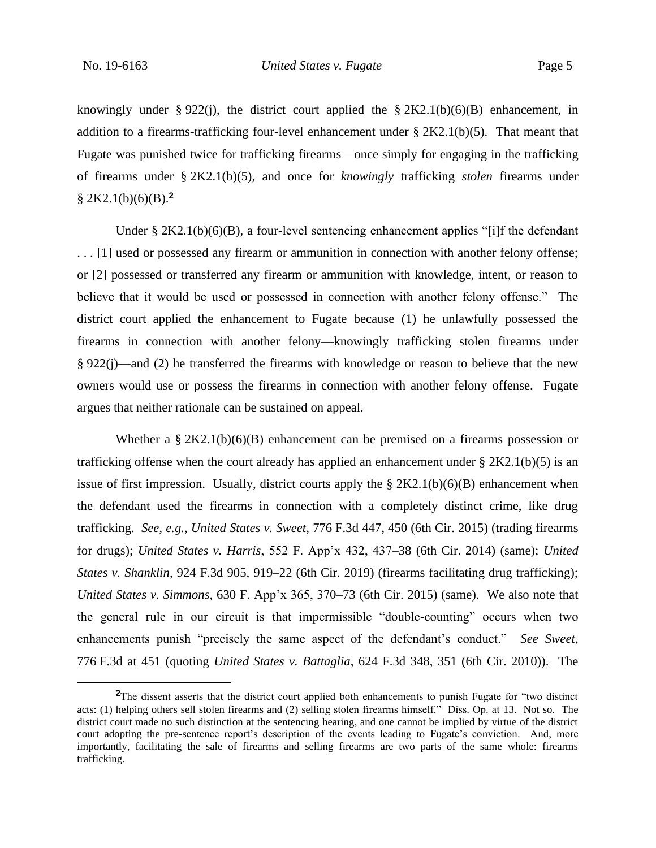knowingly under § 922(j), the district court applied the § 2K2.1(b)(6)(B) enhancement, in addition to a firearms-trafficking four-level enhancement under § 2K2.1(b)(5). That meant that Fugate was punished twice for trafficking firearms—once simply for engaging in the trafficking of firearms under § 2K2.1(b)(5), and once for *knowingly* trafficking *stolen* firearms under § 2K2.1(b)(6)(B).**<sup>2</sup>**

Under § 2K2.1(b)(6)(B), a four-level sentencing enhancement applies "[i]f the defendant . . . [1] used or possessed any firearm or ammunition in connection with another felony offense; or [2] possessed or transferred any firearm or ammunition with knowledge, intent, or reason to believe that it would be used or possessed in connection with another felony offense." The district court applied the enhancement to Fugate because (1) he unlawfully possessed the firearms in connection with another felony—knowingly trafficking stolen firearms under § 922(j)—and (2) he transferred the firearms with knowledge or reason to believe that the new owners would use or possess the firearms in connection with another felony offense. Fugate argues that neither rationale can be sustained on appeal.

Whether a  $\S 2K2.1(b)(6)(B)$  enhancement can be premised on a firearms possession or trafficking offense when the court already has applied an enhancement under  $\S 2K2.1(b)(5)$  is an issue of first impression. Usually, district courts apply the  $\S 2K2.1(b)(6)(B)$  enhancement when the defendant used the firearms in connection with a completely distinct crime, like drug trafficking. *See, e.g.*, *United States v. Sweet*, 776 F.3d 447, 450 (6th Cir. 2015) (trading firearms for drugs); *United States v. Harris*, 552 F. App'x 432, 437–38 (6th Cir. 2014) (same); *United States v. Shanklin*, 924 F.3d 905, 919–22 (6th Cir. 2019) (firearms facilitating drug trafficking); *United States v. Simmons*, 630 F. App'x 365, 370–73 (6th Cir. 2015) (same). We also note that the general rule in our circuit is that impermissible "double-counting" occurs when two enhancements punish "precisely the same aspect of the defendant's conduct." *See Sweet*, 776 F.3d at 451 (quoting *United States v. Battaglia*, 624 F.3d 348, 351 (6th Cir. 2010)). The

**<sup>2</sup>**The dissent asserts that the district court applied both enhancements to punish Fugate for "two distinct acts: (1) helping others sell stolen firearms and (2) selling stolen firearms himself." Diss. Op. at 13. Not so. The district court made no such distinction at the sentencing hearing, and one cannot be implied by virtue of the district court adopting the pre-sentence report's description of the events leading to Fugate's conviction. And, more importantly, facilitating the sale of firearms and selling firearms are two parts of the same whole: firearms trafficking.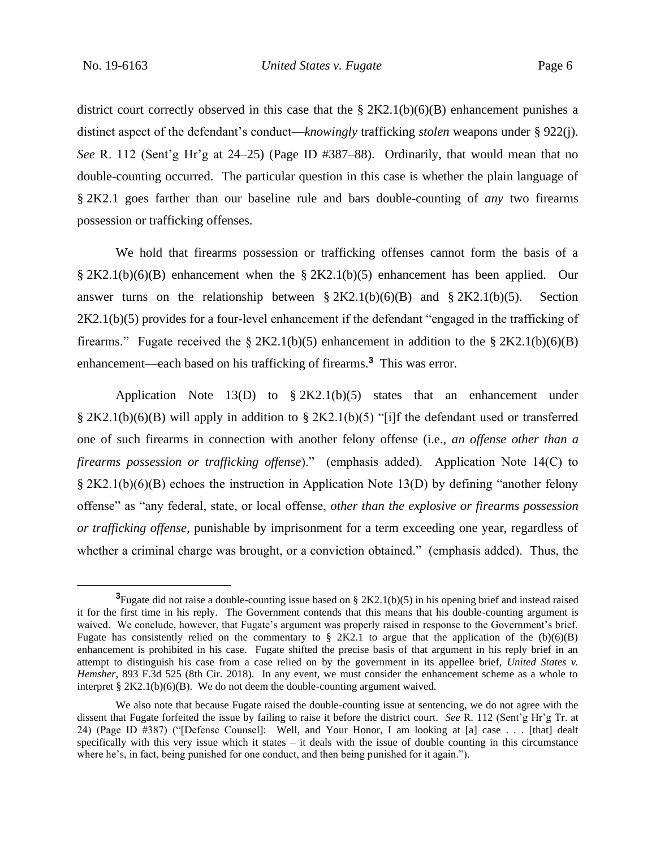district court correctly observed in this case that the  $\S 2K2.1(b)(6)(B)$  enhancement punishes a distinct aspect of the defendant's conduct—*knowingly* trafficking *stolen* weapons under § 922(j). *See* R. 112 (Sent'g Hr'g at 24–25) (Page ID #387–88).Ordinarily, that would mean that no double-counting occurred. The particular question in this case is whether the plain language of § 2K2.1 goes farther than our baseline rule and bars double-counting of *any* two firearms possession or trafficking offenses.

We hold that firearms possession or trafficking offenses cannot form the basis of a § 2K2.1(b)(6)(B) enhancement when the § 2K2.1(b)(5) enhancement has been applied. Our answer turns on the relationship between  $\S 2K2.1(b)(6)(B)$  and  $\S 2K2.1(b)(5)$ . Section 2K2.1(b)(5) provides for a four-level enhancement if the defendant "engaged in the trafficking of firearms." Fugate received the § 2K2.1(b)(5) enhancement in addition to the § 2K2.1(b)(6)(B) enhancement—each based on his trafficking of firearms.**<sup>3</sup>** This was error.

Application Note 13(D) to § 2K2.1(b)(5) states that an enhancement under § 2K2.1(b)(6)(B) will apply in addition to § 2K2.1(b)(5) "[i]f the defendant used or transferred one of such firearms in connection with another felony offense (i.e., *an offense other than a firearms possession or trafficking offense*)." (emphasis added). Application Note 14(C) to § 2K2.1(b)(6)(B) echoes the instruction in Application Note 13(D) by defining "another felony offense" as "any federal, state, or local offense, *other than the explosive or firearms possession or trafficking offense*, punishable by imprisonment for a term exceeding one year, regardless of whether a criminal charge was brought, or a conviction obtained." (emphasis added). Thus, the

**<sup>3</sup>**Fugate did not raise a double-counting issue based on § 2K2.1(b)(5) in his opening brief and instead raised it for the first time in his reply. The Government contends that this means that his double-counting argument is waived. We conclude, however, that Fugate's argument was properly raised in response to the Government's brief. Fugate has consistently relied on the commentary to  $\S 2K2.1$  to argue that the application of the (b)(6)(B) enhancement is prohibited in his case. Fugate shifted the precise basis of that argument in his reply brief in an attempt to distinguish his case from a case relied on by the government in its appellee brief, *United States v. Hemsher*, 893 F.3d 525 (8th Cir. 2018). In any event, we must consider the enhancement scheme as a whole to interpret  $\S 2K2.1(b)(6)(B)$ . We do not deem the double-counting argument waived.

We also note that because Fugate raised the double-counting issue at sentencing, we do not agree with the dissent that Fugate forfeited the issue by failing to raise it before the district court. *See* R. 112 (Sent'g Hr'g Tr. at 24) (Page ID #387) ("[Defense Counsel]: Well, and Your Honor, I am looking at [a] case . . . [that] dealt specifically with this very issue which it states – it deals with the issue of double counting in this circumstance where he's, in fact, being punished for one conduct, and then being punished for it again.").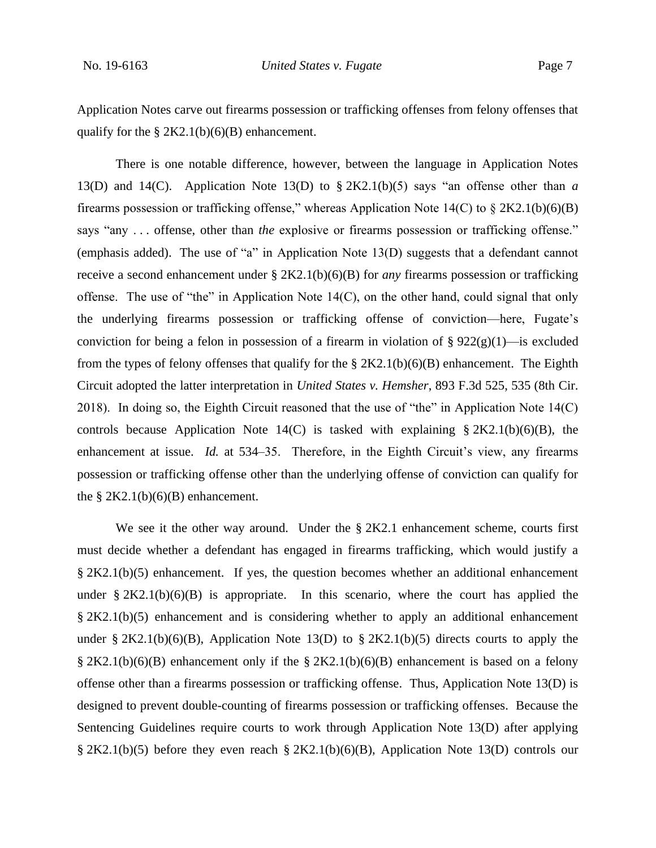Application Notes carve out firearms possession or trafficking offenses from felony offenses that qualify for the  $\S 2K2.1(b)(6)(B)$  enhancement.

There is one notable difference, however, between the language in Application Notes 13(D) and 14(C). Application Note 13(D) to § 2K2.1(b)(5) says "an offense other than *a*  firearms possession or trafficking offense," whereas Application Note  $14(C)$  to  $\S 2K2.1(b)(6)(B)$ says "any . . . offense, other than *the* explosive or firearms possession or trafficking offense." (emphasis added). The use of "a" in Application Note 13(D) suggests that a defendant cannot receive a second enhancement under § 2K2.1(b)(6)(B) for *any* firearms possession or trafficking offense. The use of "the" in Application Note 14(C), on the other hand, could signal that only the underlying firearms possession or trafficking offense of conviction—here, Fugate's conviction for being a felon in possession of a firearm in violation of  $\S 922(g)(1)$ —is excluded from the types of felony offenses that qualify for the  $\S 2K2.1(b)(6)(B)$  enhancement. The Eighth Circuit adopted the latter interpretation in *United States v. Hemsher*, 893 F.3d 525, 535 (8th Cir. 2018). In doing so, the Eighth Circuit reasoned that the use of "the" in Application Note 14(C) controls because Application Note  $14(C)$  is tasked with explaining § 2K2.1(b)(6)(B), the enhancement at issue. *Id.* at 534–35. Therefore, in the Eighth Circuit's view, any firearms possession or trafficking offense other than the underlying offense of conviction can qualify for the  $\S 2K2.1(b)(6)(B)$  enhancement.

We see it the other way around. Under the  $\S 2K2.1$  enhancement scheme, courts first must decide whether a defendant has engaged in firearms trafficking, which would justify a § 2K2.1(b)(5) enhancement. If yes, the question becomes whether an additional enhancement under  $\S 2K2.1(b)(6)(B)$  is appropriate. In this scenario, where the court has applied the § 2K2.1(b)(5) enhancement and is considering whether to apply an additional enhancement under § 2K2.1(b)(6)(B), Application Note 13(D) to § 2K2.1(b)(5) directs courts to apply the § 2K2.1(b)(6)(B) enhancement only if the § 2K2.1(b)(6)(B) enhancement is based on a felony offense other than a firearms possession or trafficking offense. Thus, Application Note 13(D) is designed to prevent double-counting of firearms possession or trafficking offenses. Because the Sentencing Guidelines require courts to work through Application Note 13(D) after applying § 2K2.1(b)(5) before they even reach § 2K2.1(b)(6)(B), Application Note 13(D) controls our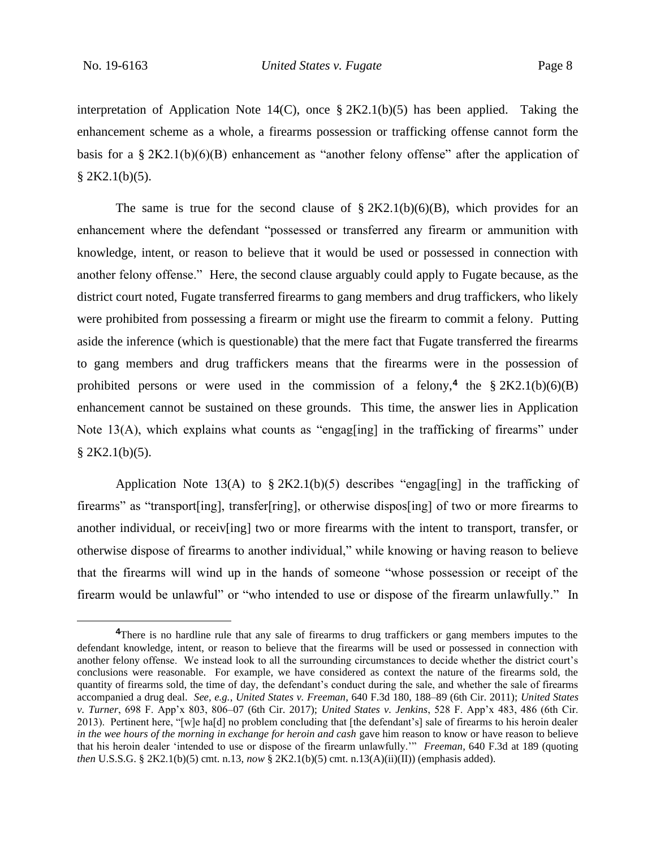interpretation of Application Note  $14(C)$ , once § 2K2.1(b)(5) has been applied. Taking the enhancement scheme as a whole, a firearms possession or trafficking offense cannot form the basis for a  $\S 2K2.1(b)(6)(B)$  enhancement as "another felony offense" after the application of  $$2K2.1(b)(5).$ 

The same is true for the second clause of  $\S 2K2.1(b)(6)(B)$ , which provides for an enhancement where the defendant "possessed or transferred any firearm or ammunition with knowledge, intent, or reason to believe that it would be used or possessed in connection with another felony offense." Here, the second clause arguably could apply to Fugate because, as the district court noted, Fugate transferred firearms to gang members and drug traffickers, who likely were prohibited from possessing a firearm or might use the firearm to commit a felony. Putting aside the inference (which is questionable) that the mere fact that Fugate transferred the firearms to gang members and drug traffickers means that the firearms were in the possession of prohibited persons or were used in the commission of a felony,<sup>4</sup> the  $\S 2K2.1(b)(6)(B)$ enhancement cannot be sustained on these grounds. This time, the answer lies in Application Note 13(A), which explains what counts as "engag[ing] in the trafficking of firearms" under  $$2K2.1(b)(5).$ 

Application Note 13(A) to  $\S 2K2.1(b)(5)$  describes "engag[ing] in the trafficking of firearms" as "transport[ing], transfer[ring], or otherwise dispos[ing] of two or more firearms to another individual, or receiv[ing] two or more firearms with the intent to transport, transfer, or otherwise dispose of firearms to another individual," while knowing or having reason to believe that the firearms will wind up in the hands of someone "whose possession or receipt of the firearm would be unlawful" or "who intended to use or dispose of the firearm unlawfully." In

<sup>&</sup>lt;sup>4</sup>There is no hardline rule that any sale of firearms to drug traffickers or gang members imputes to the defendant knowledge, intent, or reason to believe that the firearms will be used or possessed in connection with another felony offense. We instead look to all the surrounding circumstances to decide whether the district court's conclusions were reasonable. For example, we have considered as context the nature of the firearms sold, the quantity of firearms sold, the time of day, the defendant's conduct during the sale, and whether the sale of firearms accompanied a drug deal. *See, e.g.*, *United States v. Freeman*, 640 F.3d 180, 188–89 (6th Cir. 2011); *United States v. Turner*, 698 F. App'x 803, 806–07 (6th Cir. 2017); *United States v. Jenkins*, 528 F. App'x 483, 486 (6th Cir. 2013). Pertinent here, "[w]e ha[d] no problem concluding that [the defendant's] sale of firearms to his heroin dealer *in the wee hours of the morning in exchange for heroin and cash* gave him reason to know or have reason to believe that his heroin dealer 'intended to use or dispose of the firearm unlawfully.'" *Freeman*, 640 F.3d at 189 (quoting *then* U.S.S.G. § 2K2.1(b)(5) cmt. n.13, *now* § 2K2.1(b)(5) cmt. n.13(A)(ii)(II)) (emphasis added).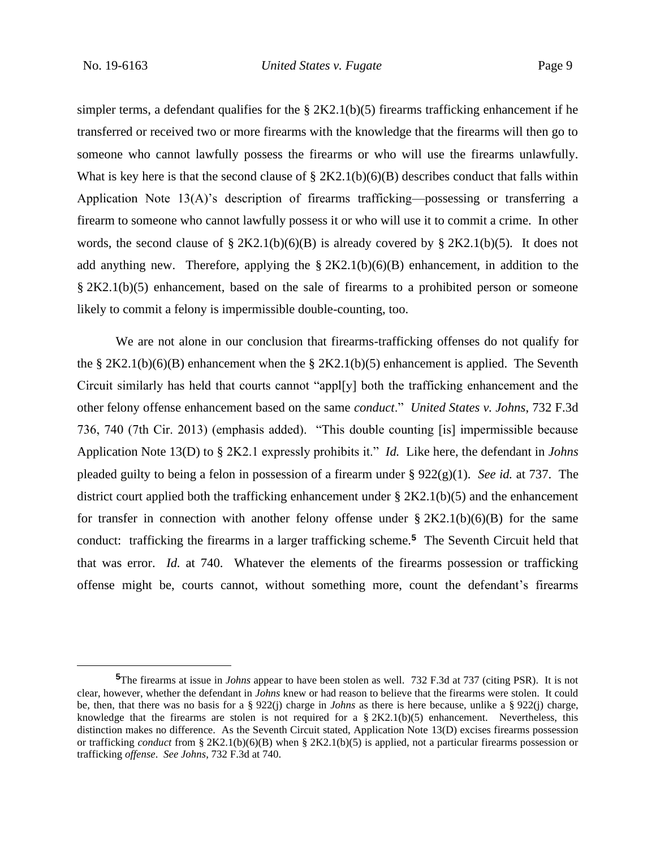simpler terms, a defendant qualifies for the  $\S 2K2.1(b)(5)$  firearms trafficking enhancement if he transferred or received two or more firearms with the knowledge that the firearms will then go to someone who cannot lawfully possess the firearms or who will use the firearms unlawfully. What is key here is that the second clause of  $\S 2K2.1(b)(6)(B)$  describes conduct that falls within Application Note  $13(A)$ 's description of firearms trafficking—possessing or transferring a firearm to someone who cannot lawfully possess it or who will use it to commit a crime. In other words, the second clause of § 2K2.1(b)(6)(B) is already covered by § 2K2.1(b)(5). It does not add anything new. Therefore, applying the  $\S 2K2.1(b)(6)(B)$  enhancement, in addition to the § 2K2.1(b)(5) enhancement, based on the sale of firearms to a prohibited person or someone likely to commit a felony is impermissible double-counting, too.

We are not alone in our conclusion that firearms-trafficking offenses do not qualify for the § 2K2.1(b)(6)(B) enhancement when the § 2K2.1(b)(5) enhancement is applied. The Seventh Circuit similarly has held that courts cannot "appl[y] both the trafficking enhancement and the other felony offense enhancement based on the same *conduct*." *United States v. Johns*, 732 F.3d 736, 740 (7th Cir. 2013) (emphasis added). "This double counting [is] impermissible because Application Note 13(D) to § 2K2.1 expressly prohibits it." *Id.* Like here, the defendant in *Johns* pleaded guilty to being a felon in possession of a firearm under § 922(g)(1). *See id.* at 737. The district court applied both the trafficking enhancement under § 2K2.1(b)(5) and the enhancement for transfer in connection with another felony offense under  $\S 2K2.1(b)(6)(B)$  for the same conduct: trafficking the firearms in a larger trafficking scheme.**<sup>5</sup>** The Seventh Circuit held that that was error. *Id.* at 740. Whatever the elements of the firearms possession or trafficking offense might be, courts cannot, without something more, count the defendant's firearms

**<sup>5</sup>**The firearms at issue in *Johns* appear to have been stolen as well. 732 F.3d at 737 (citing PSR). It is not clear, however, whether the defendant in *Johns* knew or had reason to believe that the firearms were stolen. It could be, then, that there was no basis for a § 922(j) charge in *Johns* as there is here because, unlike a § 922(j) charge, knowledge that the firearms are stolen is not required for a  $\S 2K2.1(b)(5)$  enhancement. Nevertheless, this distinction makes no difference. As the Seventh Circuit stated, Application Note 13(D) excises firearms possession or trafficking *conduct* from § 2K2.1(b)(6)(B) when § 2K2.1(b)(5) is applied, not a particular firearms possession or trafficking *offense*. *See Johns*, 732 F.3d at 740.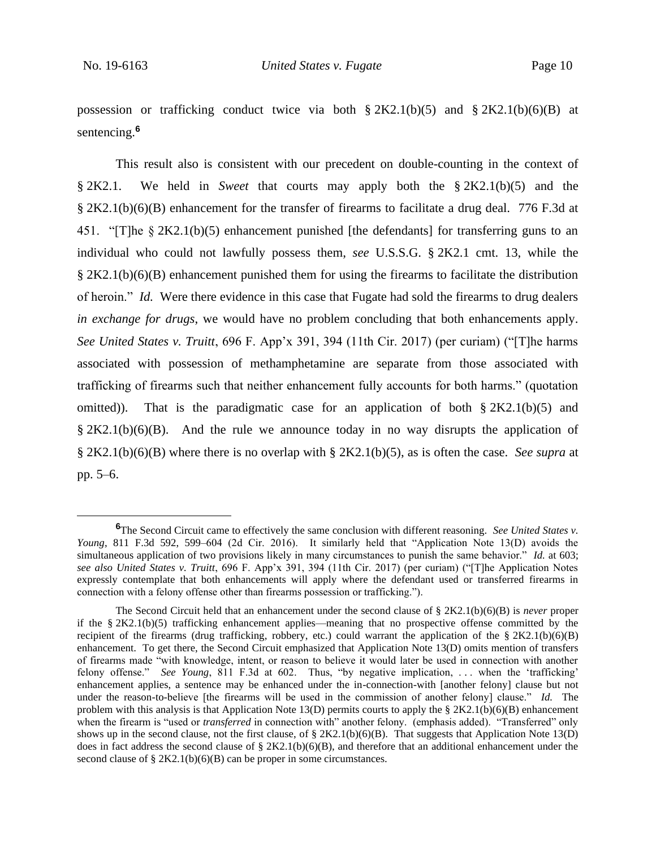possession or trafficking conduct twice via both  $\S 2K2.1(b)(5)$  and  $\S 2K2.1(b)(6)(B)$  at sentencing.**<sup>6</sup>**

This result also is consistent with our precedent on double-counting in the context of § 2K2.1. We held in *Sweet* that courts may apply both the § 2K2.1(b)(5) and the § 2K2.1(b)(6)(B) enhancement for the transfer of firearms to facilitate a drug deal. 776 F.3d at 451. "[T]he § 2K2.1(b)(5) enhancement punished [the defendants] for transferring guns to an individual who could not lawfully possess them, *see* U.S.S.G. § 2K2.1 cmt. 13, while the § 2K2.1(b)(6)(B) enhancement punished them for using the firearms to facilitate the distribution of heroin." *Id.* Were there evidence in this case that Fugate had sold the firearms to drug dealers *in exchange for drugs*, we would have no problem concluding that both enhancements apply. *See United States v. Truitt*, 696 F. App'x 391, 394 (11th Cir. 2017) (per curiam) ("[T]he harms associated with possession of methamphetamine are separate from those associated with trafficking of firearms such that neither enhancement fully accounts for both harms." (quotation omitted)). That is the paradigmatic case for an application of both  $\S 2K2.1(b)(5)$  and  $\S 2K2.1(b)(6)(B)$ . And the rule we announce today in no way disrupts the application of § 2K2.1(b)(6)(B) where there is no overlap with § 2K2.1(b)(5), as is often the case. *See supra* at pp. 5–6.

**<sup>6</sup>**The Second Circuit came to effectively the same conclusion with different reasoning. *See United States v. Young*, 811 F.3d 592, 599–604 (2d Cir. 2016). It similarly held that "Application Note 13(D) avoids the simultaneous application of two provisions likely in many circumstances to punish the same behavior." *Id.* at 603; *see also United States v. Truitt*, 696 F. App'x 391, 394 (11th Cir. 2017) (per curiam) ("[T]he Application Notes expressly contemplate that both enhancements will apply where the defendant used or transferred firearms in connection with a felony offense other than firearms possession or trafficking.").

The Second Circuit held that an enhancement under the second clause of § 2K2.1(b)(6)(B) is *never* proper if the § 2K2.1(b)(5) trafficking enhancement applies—meaning that no prospective offense committed by the recipient of the firearms (drug trafficking, robbery, etc.) could warrant the application of the  $\S 2K2.1(b)(6)(B)$ enhancement. To get there, the Second Circuit emphasized that Application Note 13(D) omits mention of transfers of firearms made "with knowledge, intent, or reason to believe it would later be used in connection with another felony offense." *See Young*, 811 F.3d at 602. Thus, "by negative implication, ... when the 'trafficking' enhancement applies, a sentence may be enhanced under the in-connection-with [another felony] clause but not under the reason-to-believe [the firearms will be used in the commission of another felony] clause." *Id.* The problem with this analysis is that Application Note 13(D) permits courts to apply the § 2K2.1(b)(6)(B) enhancement when the firearm is "used or *transferred* in connection with" another felony. (emphasis added). "Transferred" only shows up in the second clause, not the first clause, of  $\S 2K2.1(b)(6)(B)$ . That suggests that Application Note 13(D) does in fact address the second clause of §  $2K2.1(b)(6)(B)$ , and therefore that an additional enhancement under the second clause of § 2K2.1(b)(6)(B) can be proper in some circumstances.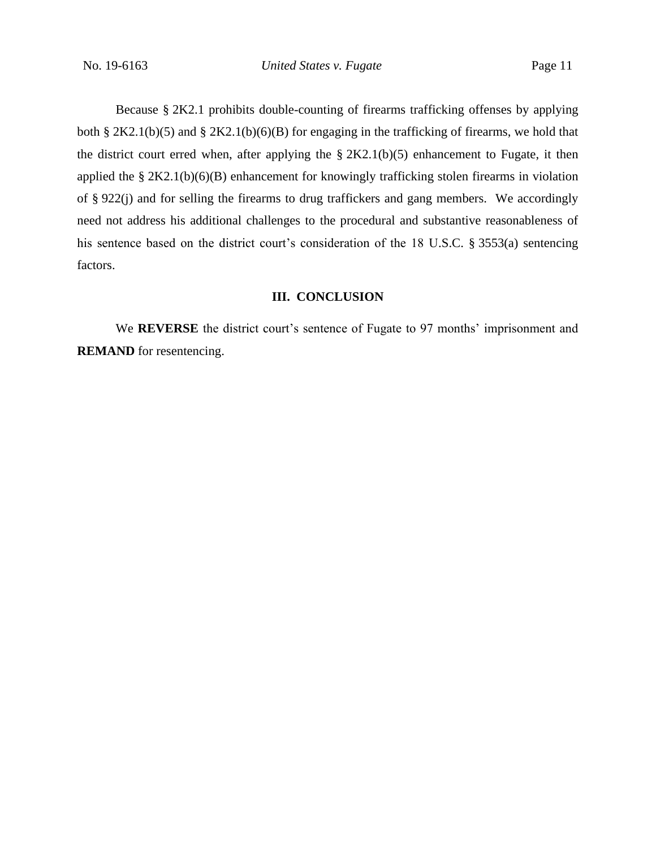Because § 2K2.1 prohibits double-counting of firearms trafficking offenses by applying both § 2K2.1(b)(5) and § 2K2.1(b)(6)(B) for engaging in the trafficking of firearms, we hold that the district court erred when, after applying the  $\S 2K2.1(b)(5)$  enhancement to Fugate, it then applied the § 2K2.1(b)(6)(B) enhancement for knowingly trafficking stolen firearms in violation of § 922(j) and for selling the firearms to drug traffickers and gang members. We accordingly need not address his additional challenges to the procedural and substantive reasonableness of his sentence based on the district court's consideration of the 18 U.S.C. § 3553(a) sentencing factors.

### **III. CONCLUSION**

We **REVERSE** the district court's sentence of Fugate to 97 months' imprisonment and **REMAND** for resentencing.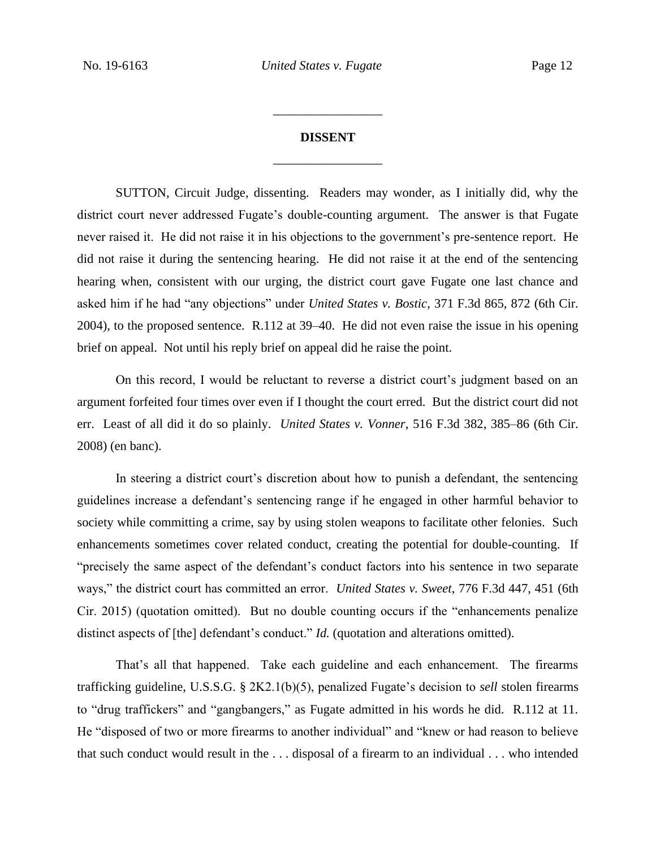# **DISSENT** \_\_\_\_\_\_\_\_\_\_\_\_\_\_\_\_\_

\_\_\_\_\_\_\_\_\_\_\_\_\_\_\_\_\_

SUTTON, Circuit Judge, dissenting. Readers may wonder, as I initially did, why the district court never addressed Fugate's double-counting argument. The answer is that Fugate never raised it. He did not raise it in his objections to the government's pre-sentence report. He did not raise it during the sentencing hearing. He did not raise it at the end of the sentencing hearing when, consistent with our urging, the district court gave Fugate one last chance and asked him if he had "any objections" under *United States v. Bostic*, 371 F.3d 865, 872 (6th Cir. 2004), to the proposed sentence. R.112 at 39–40. He did not even raise the issue in his opening brief on appeal. Not until his reply brief on appeal did he raise the point.

On this record, I would be reluctant to reverse a district court's judgment based on an argument forfeited four times over even if I thought the court erred. But the district court did not err. Least of all did it do so plainly. *United States v. Vonner*, 516 F.3d 382, 385–86 (6th Cir. 2008) (en banc).

In steering a district court's discretion about how to punish a defendant, the sentencing guidelines increase a defendant's sentencing range if he engaged in other harmful behavior to society while committing a crime, say by using stolen weapons to facilitate other felonies. Such enhancements sometimes cover related conduct, creating the potential for double-counting. If "precisely the same aspect of the defendant's conduct factors into his sentence in two separate ways," the district court has committed an error. *United States v. Sweet*, 776 F.3d 447, 451 (6th Cir. 2015) (quotation omitted). But no double counting occurs if the "enhancements penalize distinct aspects of [the] defendant's conduct." *Id.* (quotation and alterations omitted).

That's all that happened. Take each guideline and each enhancement. The firearms trafficking guideline, U.S.S.G. § 2K2.1(b)(5), penalized Fugate's decision to *sell* stolen firearms to "drug traffickers" and "gangbangers," as Fugate admitted in his words he did. R.112 at 11. He "disposed of two or more firearms to another individual" and "knew or had reason to believe that such conduct would result in the . . . disposal of a firearm to an individual . . . who intended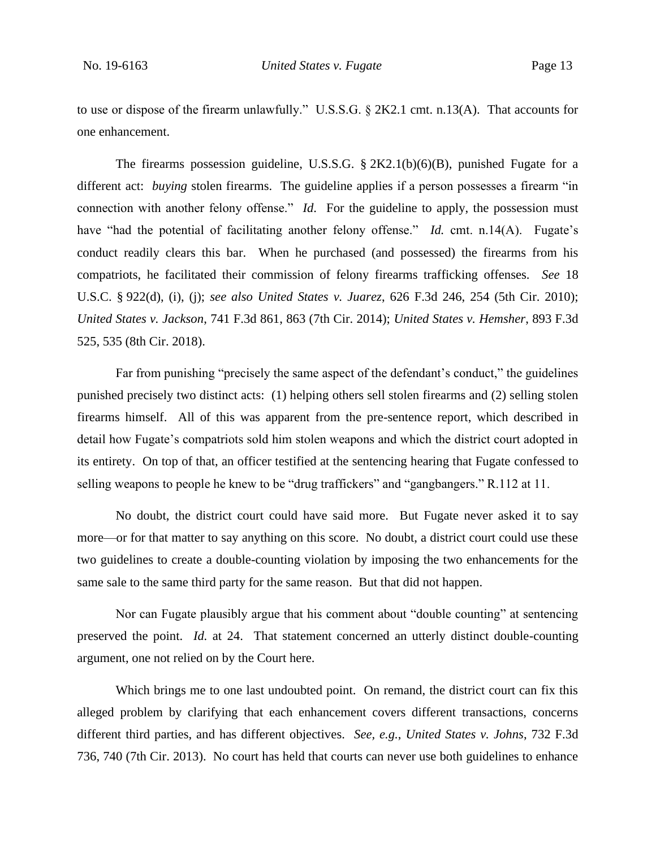to use or dispose of the firearm unlawfully." U.S.S.G. § 2K2.1 cmt. n.13(A). That accounts for one enhancement.

The firearms possession guideline, U.S.S.G.  $\S 2K2.1(b)(6)(B)$ , punished Fugate for a different act: *buying* stolen firearms. The guideline applies if a person possesses a firearm "in connection with another felony offense." *Id*. For the guideline to apply, the possession must have "had the potential of facilitating another felony offense." *Id.* cmt. n.14(A). Fugate's conduct readily clears this bar. When he purchased (and possessed) the firearms from his compatriots, he facilitated their commission of felony firearms trafficking offenses. *See* 18 U.S.C. § 922(d), (i), (j); *see also United States v. Juarez*, 626 F.3d 246, 254 (5th Cir. 2010); *United States v. Jackson*, 741 F.3d 861, 863 (7th Cir. 2014); *United States v. Hemsher*, 893 F.3d 525, 535 (8th Cir. 2018).

Far from punishing "precisely the same aspect of the defendant's conduct," the guidelines punished precisely two distinct acts: (1) helping others sell stolen firearms and (2) selling stolen firearms himself. All of this was apparent from the pre-sentence report, which described in detail how Fugate's compatriots sold him stolen weapons and which the district court adopted in its entirety. On top of that, an officer testified at the sentencing hearing that Fugate confessed to selling weapons to people he knew to be "drug traffickers" and "gangbangers." R.112 at 11.

No doubt, the district court could have said more. But Fugate never asked it to say more—or for that matter to say anything on this score. No doubt, a district court could use these two guidelines to create a double-counting violation by imposing the two enhancements for the same sale to the same third party for the same reason. But that did not happen.

Nor can Fugate plausibly argue that his comment about "double counting" at sentencing preserved the point. *Id.* at 24. That statement concerned an utterly distinct double-counting argument, one not relied on by the Court here.

Which brings me to one last undoubted point. On remand, the district court can fix this alleged problem by clarifying that each enhancement covers different transactions, concerns different third parties, and has different objectives. *See, e.g.*, *United States v. Johns*, 732 F.3d 736, 740 (7th Cir. 2013). No court has held that courts can never use both guidelines to enhance